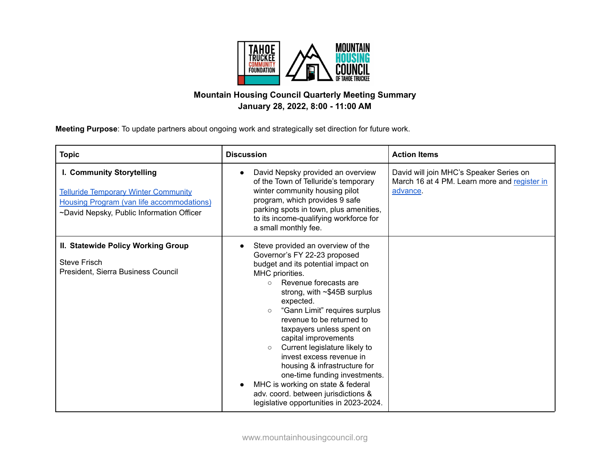

## **Mountain Housing Council Quarterly Meeting Summary January 28, 2022, 8:00 - 11:00 AM**

**Meeting Purpose**: To update partners about ongoing work and strategically set direction for future work.

| <b>Topic</b>                                                                                                                                                              | <b>Discussion</b>                                                                                                                                                                                                                                                                                                                                                                                                                                                                                                                                                                                   | <b>Action Items</b>                                                                                 |
|---------------------------------------------------------------------------------------------------------------------------------------------------------------------------|-----------------------------------------------------------------------------------------------------------------------------------------------------------------------------------------------------------------------------------------------------------------------------------------------------------------------------------------------------------------------------------------------------------------------------------------------------------------------------------------------------------------------------------------------------------------------------------------------------|-----------------------------------------------------------------------------------------------------|
| I. Community Storytelling<br><b>Telluride Temporary Winter Community</b><br><b>Housing Program (van life accommodations)</b><br>~David Nepsky, Public Information Officer | David Nepsky provided an overview<br>of the Town of Telluride's temporary<br>winter community housing pilot<br>program, which provides 9 safe<br>parking spots in town, plus amenities,<br>to its income-qualifying workforce for<br>a small monthly fee.                                                                                                                                                                                                                                                                                                                                           | David will join MHC's Speaker Series on<br>March 16 at 4 PM. Learn more and register in<br>advance. |
| II. Statewide Policy Working Group<br><b>Steve Frisch</b><br>President, Sierra Business Council                                                                           | Steve provided an overview of the<br>Governor's FY 22-23 proposed<br>budget and its potential impact on<br>MHC priorities.<br>Revenue forecasts are<br>$\circ$<br>strong, with $\sim$ \$45B surplus<br>expected.<br>"Gann Limit" requires surplus<br>revenue to be returned to<br>taxpayers unless spent on<br>capital improvements<br>Current legislature likely to<br>$\circ$<br>invest excess revenue in<br>housing & infrastructure for<br>one-time funding investments.<br>MHC is working on state & federal<br>adv. coord. between jurisdictions &<br>legislative opportunities in 2023-2024. |                                                                                                     |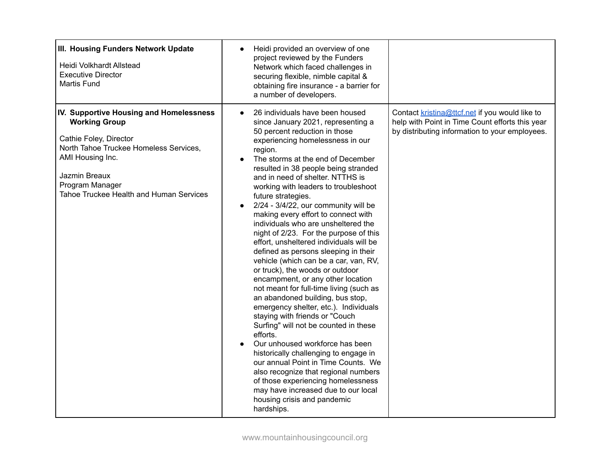| III. Housing Funders Network Update<br><b>Heidi Volkhardt Allstead</b><br><b>Executive Director</b><br><b>Martis Fund</b>                                                                                                              | Heidi provided an overview of one<br>$\bullet$<br>project reviewed by the Funders<br>Network which faced challenges in<br>securing flexible, nimble capital &<br>obtaining fire insurance - a barrier for<br>a number of developers.                                                                                                                                                                                                                                                                                                                                                                                                                                                                                                                                                                                                                                                                                                                                                                                                                                                                                                                                                                                                   |                                                                                                                                                     |
|----------------------------------------------------------------------------------------------------------------------------------------------------------------------------------------------------------------------------------------|----------------------------------------------------------------------------------------------------------------------------------------------------------------------------------------------------------------------------------------------------------------------------------------------------------------------------------------------------------------------------------------------------------------------------------------------------------------------------------------------------------------------------------------------------------------------------------------------------------------------------------------------------------------------------------------------------------------------------------------------------------------------------------------------------------------------------------------------------------------------------------------------------------------------------------------------------------------------------------------------------------------------------------------------------------------------------------------------------------------------------------------------------------------------------------------------------------------------------------------|-----------------------------------------------------------------------------------------------------------------------------------------------------|
| IV. Supportive Housing and Homelessness<br><b>Working Group</b><br>Cathie Foley, Director<br>North Tahoe Truckee Homeless Services,<br>AMI Housing Inc.<br>Jazmin Breaux<br>Program Manager<br>Tahoe Truckee Health and Human Services | 26 individuals have been housed<br>$\bullet$<br>since January 2021, representing a<br>50 percent reduction in those<br>experiencing homelessness in our<br>region.<br>The storms at the end of December<br>$\bullet$<br>resulted in 38 people being stranded<br>and in need of shelter. NTTHS is<br>working with leaders to troubleshoot<br>future strategies.<br>2/24 - 3/4/22, our community will be<br>making every effort to connect with<br>individuals who are unsheltered the<br>night of 2/23. For the purpose of this<br>effort, unsheltered individuals will be<br>defined as persons sleeping in their<br>vehicle (which can be a car, van, RV,<br>or truck), the woods or outdoor<br>encampment, or any other location<br>not meant for full-time living (such as<br>an abandoned building, bus stop,<br>emergency shelter, etc.). Individuals<br>staying with friends or "Couch<br>Surfing" will not be counted in these<br>efforts.<br>Our unhoused workforce has been<br>historically challenging to engage in<br>our annual Point in Time Counts. We<br>also recognize that regional numbers<br>of those experiencing homelessness<br>may have increased due to our local<br>housing crisis and pandemic<br>hardships. | Contact kristina@ttcf.net if you would like to<br>help with Point in Time Count efforts this year<br>by distributing information to your employees. |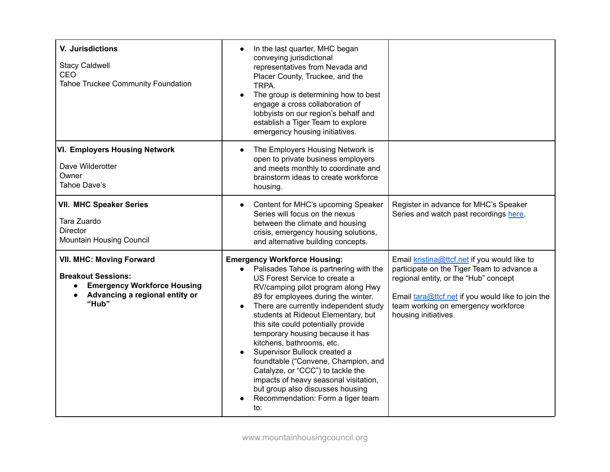| V. Jurisdictions<br><b>Stacy Caldwell</b><br>CEO<br>Tahoe Truckee Community Foundation                                                        | In the last quarter, MHC began<br>conveying jurisdictional<br>representatives from Nevada and<br>Placer County, Truckee, and the<br>TRPA.<br>The group is determining how to best<br>engage a cross collaboration of<br>lobbyists on our region's behalf and<br>establish a Tiger Team to explore<br>emergency housing initiatives.                                                                                                                                                                                                                                                                                                   |                                                                                                                                                                                                                                                         |
|-----------------------------------------------------------------------------------------------------------------------------------------------|---------------------------------------------------------------------------------------------------------------------------------------------------------------------------------------------------------------------------------------------------------------------------------------------------------------------------------------------------------------------------------------------------------------------------------------------------------------------------------------------------------------------------------------------------------------------------------------------------------------------------------------|---------------------------------------------------------------------------------------------------------------------------------------------------------------------------------------------------------------------------------------------------------|
| <b>VI. Employers Housing Network</b><br>Dave Wilderotter<br>Owner<br>Tahoe Dave's                                                             | The Employers Housing Network is<br>$\bullet$<br>open to private business employers<br>and meets monthly to coordinate and<br>brainstorm ideas to create workforce<br>housing.                                                                                                                                                                                                                                                                                                                                                                                                                                                        |                                                                                                                                                                                                                                                         |
| <b>VII. MHC Speaker Series</b><br>Tara Zuardo<br><b>Director</b><br>Mountain Housing Council                                                  | Content for MHC's upcoming Speaker<br>$\bullet$<br>Series will focus on the nexus<br>between the climate and housing<br>crisis, emergency housing solutions,<br>and alternative building concepts.                                                                                                                                                                                                                                                                                                                                                                                                                                    | Register in advance for MHC's Speaker<br>Series and watch past recordings here.                                                                                                                                                                         |
| <b>VII. MHC: Moving Forward</b><br><b>Breakout Sessions:</b><br><b>Emergency Workforce Housing</b><br>Advancing a regional entity or<br>"Hub" | <b>Emergency Workforce Housing:</b><br>Palisades Tahoe is partnering with the<br>$\bullet$<br>US Forest Service to create a<br>RV/camping pilot program along Hwy<br>89 for employees during the winter.<br>There are currently independent study<br>students at Rideout Elementary, but<br>this site could potentially provide<br>temporary housing because it has<br>kitchens, bathrooms, etc.<br>Supervisor Bullock created a<br>foundtable ("Convene, Champion, and<br>Catalyze, or "CCC") to tackle the<br>impacts of heavy seasonal visitation,<br>but group also discusses housing<br>Recommendation: Form a tiger team<br>to: | Email kristina@ttcf.net if you would like to<br>participate on the Tiger Team to advance a<br>regional entity, or the "Hub" concept<br>Email tara@ttcf.net if you would like to join the<br>team working on emergency workforce<br>housing initiatives. |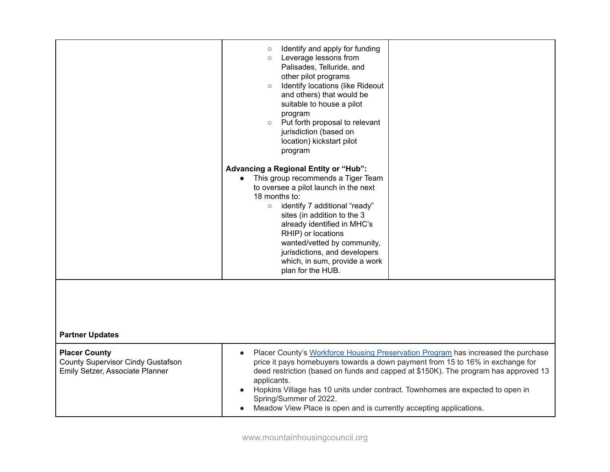| <b>Partner Updates</b>                                                                       | Identify and apply for funding<br>$\circ$<br>Leverage lessons from<br>$\circ$<br>Palisades, Telluride, and<br>other pilot programs<br>Identify locations (like Rideout<br>$\circ$<br>and others) that would be<br>suitable to house a pilot<br>program<br>Put forth proposal to relevant<br>$\circ$<br>jurisdiction (based on<br>location) kickstart pilot<br>program<br>Advancing a Regional Entity or "Hub":<br>This group recommends a Tiger Team<br>to oversee a pilot launch in the next<br>18 months to:<br>identify 7 additional "ready"<br>$\circ$<br>sites (in addition to the 3<br>already identified in MHC's<br>RHIP) or locations<br>wanted/vetted by community,<br>jurisdictions, and developers<br>which, in sum, provide a work<br>plan for the HUB. |                                                                                                                                                                                                                                                                                                                                              |
|----------------------------------------------------------------------------------------------|----------------------------------------------------------------------------------------------------------------------------------------------------------------------------------------------------------------------------------------------------------------------------------------------------------------------------------------------------------------------------------------------------------------------------------------------------------------------------------------------------------------------------------------------------------------------------------------------------------------------------------------------------------------------------------------------------------------------------------------------------------------------|----------------------------------------------------------------------------------------------------------------------------------------------------------------------------------------------------------------------------------------------------------------------------------------------------------------------------------------------|
| <b>Placer County</b><br>County Supervisor Cindy Gustafson<br>Emily Setzer, Associate Planner | $\bullet$<br>applicants.<br>Spring/Summer of 2022.<br>Meadow View Place is open and is currently accepting applications.                                                                                                                                                                                                                                                                                                                                                                                                                                                                                                                                                                                                                                             | Placer County's Workforce Housing Preservation Program has increased the purchase<br>price it pays homebuyers towards a down payment from 15 to 16% in exchange for<br>deed restriction (based on funds and capped at \$150K). The program has approved 13<br>Hopkins Village has 10 units under contract. Townhomes are expected to open in |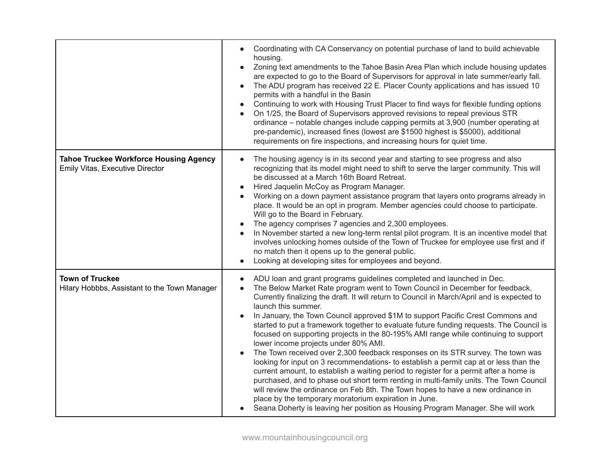|                                                                                  | Coordinating with CA Conservancy on potential purchase of land to build achievable<br>housing.<br>Zoning text amendments to the Tahoe Basin Area Plan which include housing updates<br>$\bullet$<br>are expected to go to the Board of Supervisors for approval in late summer/early fall.<br>The ADU program has received 22 E. Placer County applications and has issued 10<br>$\bullet$<br>permits with a handful in the Basin<br>Continuing to work with Housing Trust Placer to find ways for flexible funding options<br>On 1/25, the Board of Supervisors approved revisions to repeal previous STR<br>$\bullet$<br>ordinance - notable changes include capping permits at 3,900 (number operating at<br>pre-pandemic), increased fines (lowest are \$1500 highest is \$5000), additional<br>requirements on fire inspections, and increasing hours for quiet time.                                                                                                                                                                                                                                                                                                                                        |
|----------------------------------------------------------------------------------|-------------------------------------------------------------------------------------------------------------------------------------------------------------------------------------------------------------------------------------------------------------------------------------------------------------------------------------------------------------------------------------------------------------------------------------------------------------------------------------------------------------------------------------------------------------------------------------------------------------------------------------------------------------------------------------------------------------------------------------------------------------------------------------------------------------------------------------------------------------------------------------------------------------------------------------------------------------------------------------------------------------------------------------------------------------------------------------------------------------------------------------------------------------------------------------------------------------------|
| <b>Tahoe Truckee Workforce Housing Agency</b><br>Emily Vitas, Executive Director | The housing agency is in its second year and starting to see progress and also<br>recognizing that its model might need to shift to serve the larger community. This will<br>be discussed at a March 16th Board Retreat.<br>Hired Jaquelin McCoy as Program Manager.<br>Working on a down payment assistance program that layers onto programs already in<br>place. It would be an opt in program. Member agencies could choose to participate.<br>Will go to the Board in February.<br>The agency comprises 7 agencies and 2,300 employees.<br>In November started a new long-term rental pilot program. It is an incentive model that<br>involves unlocking homes outside of the Town of Truckee for employee use first and if<br>no match then it opens up to the general public.<br>Looking at developing sites for employees and beyond.                                                                                                                                                                                                                                                                                                                                                                     |
| <b>Town of Truckee</b><br>Hilary Hobbbs, Assistant to the Town Manager           | ADU loan and grant programs guidelines completed and launched in Dec.<br>$\bullet$<br>The Below Market Rate program went to Town Council in December for feedback.<br>$\bullet$<br>Currently finalizing the draft. It will return to Council in March/April and is expected to<br>launch this summer.<br>In January, the Town Council approved \$1M to support Pacific Crest Commons and<br>started to put a framework together to evaluate future funding requests. The Council is<br>focused on supporting projects in the 80-195% AMI range while continuing to support<br>lower income projects under 80% AMI.<br>The Town received over 2,300 feedback responses on its STR survey. The town was<br>looking for input on 3 recommendations- to establish a permit cap at or less than the<br>current amount, to establish a waiting period to register for a permit after a home is<br>purchased, and to phase out short term renting in multi-family units. The Town Council<br>will review the ordinance on Feb 8th. The Town hopes to have a new ordinance in<br>place by the temporary moratorium expiration in June.<br>Seana Doherty is leaving her position as Housing Program Manager. She will work |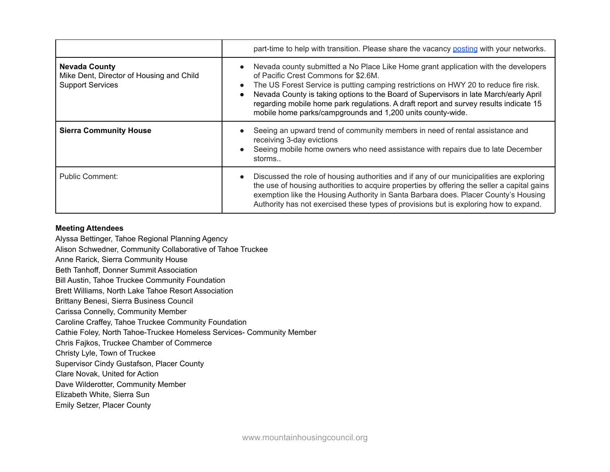|                                                                                             | part-time to help with transition. Please share the vacancy posting with your networks.                                                                                                                                                                                                                                                                                                                                                                            |
|---------------------------------------------------------------------------------------------|--------------------------------------------------------------------------------------------------------------------------------------------------------------------------------------------------------------------------------------------------------------------------------------------------------------------------------------------------------------------------------------------------------------------------------------------------------------------|
| <b>Nevada County</b><br>Mike Dent, Director of Housing and Child<br><b>Support Services</b> | Nevada county submitted a No Place Like Home grant application with the developers<br>of Pacific Crest Commons for \$2.6M.<br>The US Forest Service is putting camping restrictions on HWY 20 to reduce fire risk.<br>Nevada County is taking options to the Board of Supervisors in late March/early April<br>regarding mobile home park regulations. A draft report and survey results indicate 15<br>mobile home parks/campgrounds and 1,200 units county-wide. |
| <b>Sierra Community House</b>                                                               | Seeing an upward trend of community members in need of rental assistance and<br>receiving 3-day evictions<br>Seeing mobile home owners who need assistance with repairs due to late December<br>storms                                                                                                                                                                                                                                                             |
| Public Comment:                                                                             | Discussed the role of housing authorities and if any of our municipalities are exploring<br>the use of housing authorities to acquire properties by offering the seller a capital gains<br>exemption like the Housing Authority in Santa Barbara does. Placer County's Housing<br>Authority has not exercised these types of provisions but is exploring how to expand.                                                                                            |

## **Meeting Attendees**

Alyssa Bettinger, Tahoe Regional Planning Agency

Alison Schwedner, Community Collaborative of Tahoe Truckee

Anne Rarick, Sierra Community House

Beth Tanhoff, Donner Summit Association

Bill Austin, Tahoe Truckee Community Foundation

Brett Williams, North Lake Tahoe Resort Association

Brittany Benesi, Sierra Business Council

Carissa Connelly, Community Member

Caroline Craffey, Tahoe Truckee Community Foundation

Cathie Foley, North Tahoe-Truckee Homeless Services- Community Member

Chris Fajkos, Truckee Chamber of Commerce

Christy Lyle, Town of Truckee

Supervisor Cindy Gustafson, Placer County

Clare Novak, United for Action

Dave Wilderotter, Community Member

Elizabeth White, Sierra Sun

Emily Setzer, Placer County